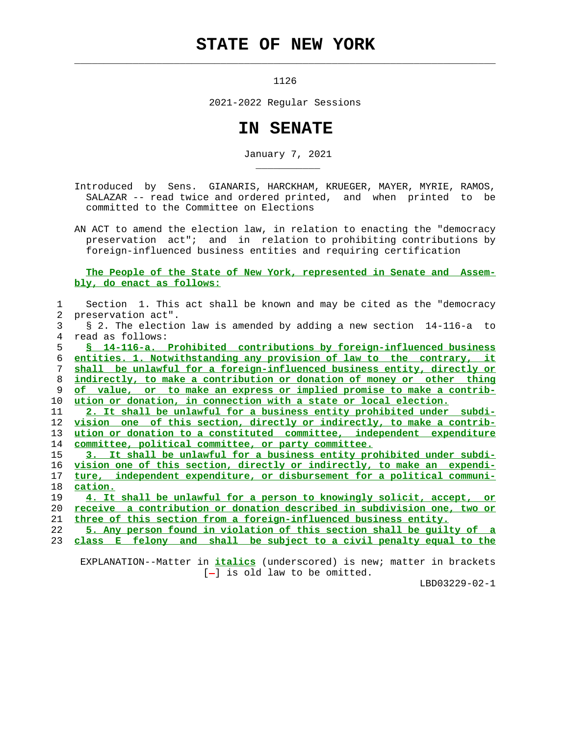## **STATE OF NEW YORK**

1126

 $\mathcal{L}_\text{max} = \frac{1}{2} \sum_{i=1}^{n} \frac{1}{2} \sum_{i=1}^{n} \frac{1}{2} \sum_{i=1}^{n} \frac{1}{2} \sum_{i=1}^{n} \frac{1}{2} \sum_{i=1}^{n} \frac{1}{2} \sum_{i=1}^{n} \frac{1}{2} \sum_{i=1}^{n} \frac{1}{2} \sum_{i=1}^{n} \frac{1}{2} \sum_{i=1}^{n} \frac{1}{2} \sum_{i=1}^{n} \frac{1}{2} \sum_{i=1}^{n} \frac{1}{2} \sum_{i=1}^{n} \frac{1$ 

\_\_\_\_\_\_\_\_\_\_\_

2021-2022 Regular Sessions

## **IN SENATE**

January 7, 2021

 Introduced by Sens. GIANARIS, HARCKHAM, KRUEGER, MAYER, MYRIE, RAMOS, SALAZAR -- read twice and ordered printed, and when printed to be committed to the Committee on Elections

 AN ACT to amend the election law, in relation to enacting the "democracy preservation act"; and in relation to prohibiting contributions by foreign-influenced business entities and requiring certification

## **The People of the State of New York, represented in Senate and Assem bly, do enact as follows:**

|                | Section 1. This act shall be known and may be cited as the "democracy"  |
|----------------|-------------------------------------------------------------------------|
| $\overline{2}$ | preservation act".                                                      |
| 3              | § 2. The election law is amended by adding a new section 14-116-a to    |
| 4              | read as follows:                                                        |
| 5              | § 14-116-a. Prohibited contributions by foreign-influenced business     |
| б.             | entities. 1. Notwithstanding any provision of law to the contrary, it   |
| 7              | shall be unlawful for a foreign-influenced business entity, directly or |
| 8              | indirectly, to make a contribution or donation of money or other thing  |
| 9              | of value, or to make an express or implied promise to make a contrib-   |
| 10             | ution or donation, in connection with a state or local election.        |
| 11             | 2. It shall be unlawful for a business entity prohibited under subdi-   |
| 12             | vision one of this section, directly or indirectly, to make a contrib-  |
| 13             | ution or donation to a constituted committee, independent expenditure   |
| 14             | committee, political committee, or party committee.                     |
| 15             | 3. It shall be unlawful for a business entity prohibited under subdi-   |
| 16             | vision one of this section, directly or indirectly, to make an expendi- |
| 17             | ture, independent expenditure, or disbursement for a political communi- |
| 18             | cation.                                                                 |
| 19             | 4. It shall be unlawful for a person to knowingly solicit, accept, or   |
| 20             | receive a contribution or donation described in subdivision one, two or |
| 21             | three of this section from a foreign-influenced business entity.        |
| 22             | 5. Any person found in violation of this section shall be quilty of a   |
| 23             | class E felony and shall be subject to a civil penalty equal to the     |
|                |                                                                         |

 EXPLANATION--Matter in **italics** (underscored) is new; matter in brackets [-] is old law to be omitted.

LBD03229-02-1